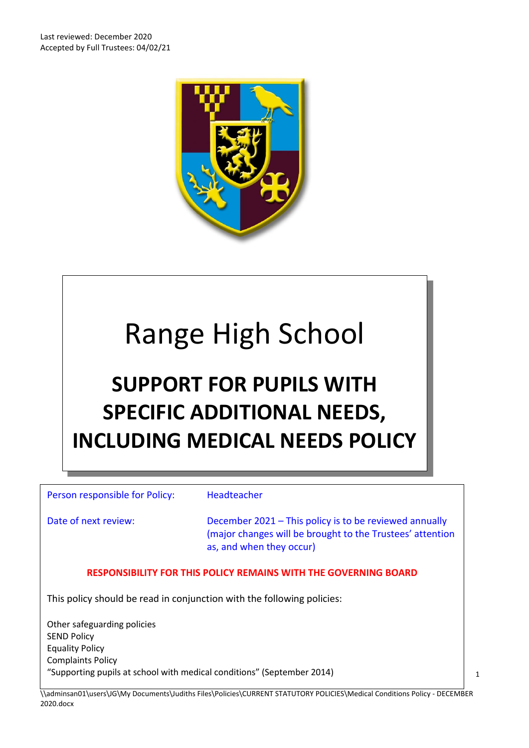

# Range High School

# **SUPPORT FOR PUPILS WITH SPECIFIC ADDITIONAL NEEDS, INCLUDING MEDICAL NEEDS POLICY**

Person responsible for Policy: Headteacher

Date of next review: December 2021 – This policy is to be reviewed annually (major changes will be brought to the Trustees' attention as, and when they occur)

#### **RESPONSIBILITY FOR THIS POLICY REMAINS WITH THE GOVERNING BOARD**

This policy should be read in conjunction with the following policies:

Other safeguarding policies SEND Policy Equality Policy Complaints Policy "Supporting pupils at school with medical conditions" (September 2014)

\\adminsan01\users\JG\My Documents\Judiths Files\Policies\CURRENT STATUTORY POLICIES\Medical Conditions Policy - DECEMBER 2020.docx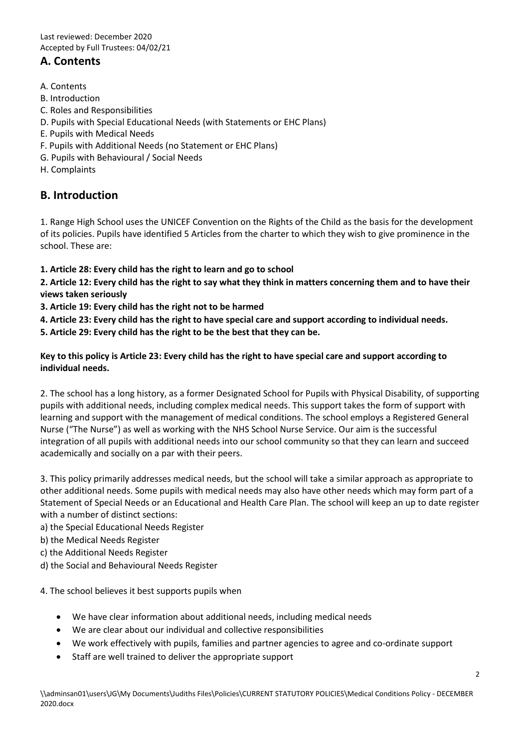# **A. Contents**

- A. Contents
- B. Introduction
- C. Roles and Responsibilities
- D. Pupils with Special Educational Needs (with Statements or EHC Plans)
- E. Pupils with Medical Needs
- F. Pupils with Additional Needs (no Statement or EHC Plans)
- G. Pupils with Behavioural / Social Needs
- H. Complaints

## **B. Introduction**

1. Range High School uses the UNICEF Convention on the Rights of the Child as the basis for the development of its policies. Pupils have identified 5 Articles from the charter to which they wish to give prominence in the school. These are:

**1. Article 28: Every child has the right to learn and go to school** 

**2. Article 12: Every child has the right to say what they think in matters concerning them and to have their views taken seriously** 

**3. Article 19: Every child has the right not to be harmed** 

**4. Article 23: Every child has the right to have special care and support according to individual needs.** 

**5. Article 29: Every child has the right to be the best that they can be.** 

**Key to this policy is Article 23: Every child has the right to have special care and support according to individual needs.** 

2. The school has a long history, as a former Designated School for Pupils with Physical Disability, of supporting pupils with additional needs, including complex medical needs. This support takes the form of support with learning and support with the management of medical conditions. The school employs a Registered General Nurse ("The Nurse") as well as working with the NHS School Nurse Service. Our aim is the successful integration of all pupils with additional needs into our school community so that they can learn and succeed academically and socially on a par with their peers.

3. This policy primarily addresses medical needs, but the school will take a similar approach as appropriate to other additional needs. Some pupils with medical needs may also have other needs which may form part of a Statement of Special Needs or an Educational and Health Care Plan. The school will keep an up to date register with a number of distinct sections:

- a) the Special Educational Needs Register
- b) the Medical Needs Register
- c) the Additional Needs Register
- d) the Social and Behavioural Needs Register

4. The school believes it best supports pupils when

- We have clear information about additional needs, including medical needs
- We are clear about our individual and collective responsibilities
- We work effectively with pupils, families and partner agencies to agree and co-ordinate support
- Staff are well trained to deliver the appropriate support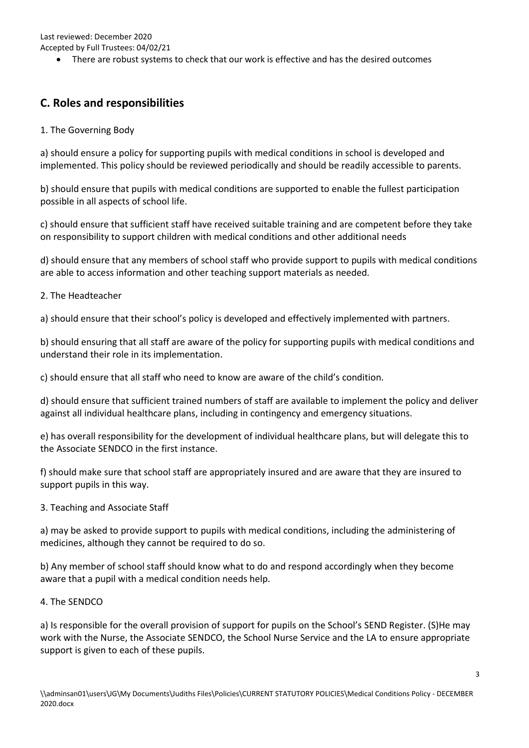Accepted by Full Trustees: 04/02/21

There are robust systems to check that our work is effective and has the desired outcomes

# **C. Roles and responsibilities**

1. The Governing Body

a) should ensure a policy for supporting pupils with medical conditions in school is developed and implemented. This policy should be reviewed periodically and should be readily accessible to parents.

b) should ensure that pupils with medical conditions are supported to enable the fullest participation possible in all aspects of school life.

c) should ensure that sufficient staff have received suitable training and are competent before they take on responsibility to support children with medical conditions and other additional needs

d) should ensure that any members of school staff who provide support to pupils with medical conditions are able to access information and other teaching support materials as needed.

2. The Headteacher

a) should ensure that their school's policy is developed and effectively implemented with partners.

b) should ensuring that all staff are aware of the policy for supporting pupils with medical conditions and understand their role in its implementation.

c) should ensure that all staff who need to know are aware of the child's condition.

d) should ensure that sufficient trained numbers of staff are available to implement the policy and deliver against all individual healthcare plans, including in contingency and emergency situations.

e) has overall responsibility for the development of individual healthcare plans, but will delegate this to the Associate SENDCO in the first instance.

f) should make sure that school staff are appropriately insured and are aware that they are insured to support pupils in this way.

3. Teaching and Associate Staff

a) may be asked to provide support to pupils with medical conditions, including the administering of medicines, although they cannot be required to do so.

b) Any member of school staff should know what to do and respond accordingly when they become aware that a pupil with a medical condition needs help.

#### 4. The SENDCO

a) Is responsible for the overall provision of support for pupils on the School's SEND Register. (S)He may work with the Nurse, the Associate SENDCO, the School Nurse Service and the LA to ensure appropriate support is given to each of these pupils.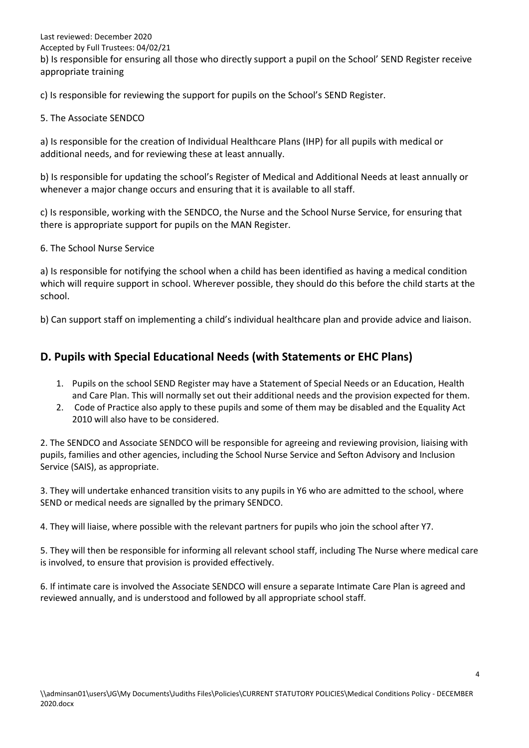Last reviewed: December 2020 Accepted by Full Trustees: 04/02/21 b) Is responsible for ensuring all those who directly support a pupil on the School' SEND Register receive appropriate training

c) Is responsible for reviewing the support for pupils on the School's SEND Register.

#### 5. The Associate SENDCO

a) Is responsible for the creation of Individual Healthcare Plans (IHP) for all pupils with medical or additional needs, and for reviewing these at least annually.

b) Is responsible for updating the school's Register of Medical and Additional Needs at least annually or whenever a major change occurs and ensuring that it is available to all staff.

c) Is responsible, working with the SENDCO, the Nurse and the School Nurse Service, for ensuring that there is appropriate support for pupils on the MAN Register.

6. The School Nurse Service

a) Is responsible for notifying the school when a child has been identified as having a medical condition which will require support in school. Wherever possible, they should do this before the child starts at the school.

b) Can support staff on implementing a child's individual healthcare plan and provide advice and liaison.

# **D. Pupils with Special Educational Needs (with Statements or EHC Plans)**

- 1. Pupils on the school SEND Register may have a Statement of Special Needs or an Education, Health and Care Plan. This will normally set out their additional needs and the provision expected for them.
- 2. Code of Practice also apply to these pupils and some of them may be disabled and the Equality Act 2010 will also have to be considered.

2. The SENDCO and Associate SENDCO will be responsible for agreeing and reviewing provision, liaising with pupils, families and other agencies, including the School Nurse Service and Sefton Advisory and Inclusion Service (SAIS), as appropriate.

3. They will undertake enhanced transition visits to any pupils in Y6 who are admitted to the school, where SEND or medical needs are signalled by the primary SENDCO.

4. They will liaise, where possible with the relevant partners for pupils who join the school after Y7.

5. They will then be responsible for informing all relevant school staff, including The Nurse where medical care is involved, to ensure that provision is provided effectively.

6. If intimate care is involved the Associate SENDCO will ensure a separate Intimate Care Plan is agreed and reviewed annually, and is understood and followed by all appropriate school staff.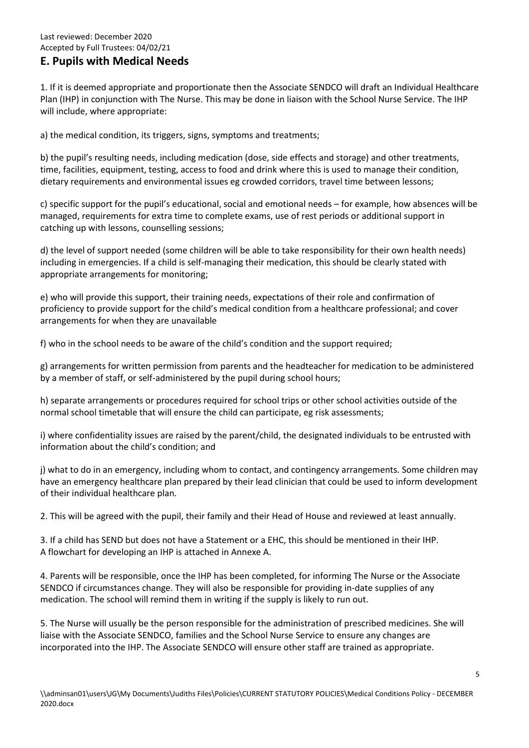# **E. Pupils with Medical Needs**

1. If it is deemed appropriate and proportionate then the Associate SENDCO will draft an Individual Healthcare Plan (IHP) in conjunction with The Nurse. This may be done in liaison with the School Nurse Service. The IHP will include, where appropriate:

a) the medical condition, its triggers, signs, symptoms and treatments;

b) the pupil's resulting needs, including medication (dose, side effects and storage) and other treatments, time, facilities, equipment, testing, access to food and drink where this is used to manage their condition, dietary requirements and environmental issues eg crowded corridors, travel time between lessons;

c) specific support for the pupil's educational, social and emotional needs – for example, how absences will be managed, requirements for extra time to complete exams, use of rest periods or additional support in catching up with lessons, counselling sessions;

d) the level of support needed (some children will be able to take responsibility for their own health needs) including in emergencies. If a child is self-managing their medication, this should be clearly stated with appropriate arrangements for monitoring;

e) who will provide this support, their training needs, expectations of their role and confirmation of proficiency to provide support for the child's medical condition from a healthcare professional; and cover arrangements for when they are unavailable

f) who in the school needs to be aware of the child's condition and the support required;

g) arrangements for written permission from parents and the headteacher for medication to be administered by a member of staff, or self-administered by the pupil during school hours;

h) separate arrangements or procedures required for school trips or other school activities outside of the normal school timetable that will ensure the child can participate, eg risk assessments;

i) where confidentiality issues are raised by the parent/child, the designated individuals to be entrusted with information about the child's condition; and

j) what to do in an emergency, including whom to contact, and contingency arrangements. Some children may have an emergency healthcare plan prepared by their lead clinician that could be used to inform development of their individual healthcare plan.

2. This will be agreed with the pupil, their family and their Head of House and reviewed at least annually.

3. If a child has SEND but does not have a Statement or a EHC, this should be mentioned in their IHP. A flowchart for developing an IHP is attached in Annexe A.

4. Parents will be responsible, once the IHP has been completed, for informing The Nurse or the Associate SENDCO if circumstances change. They will also be responsible for providing in-date supplies of any medication. The school will remind them in writing if the supply is likely to run out.

5. The Nurse will usually be the person responsible for the administration of prescribed medicines. She will liaise with the Associate SENDCO, families and the School Nurse Service to ensure any changes are incorporated into the IHP. The Associate SENDCO will ensure other staff are trained as appropriate.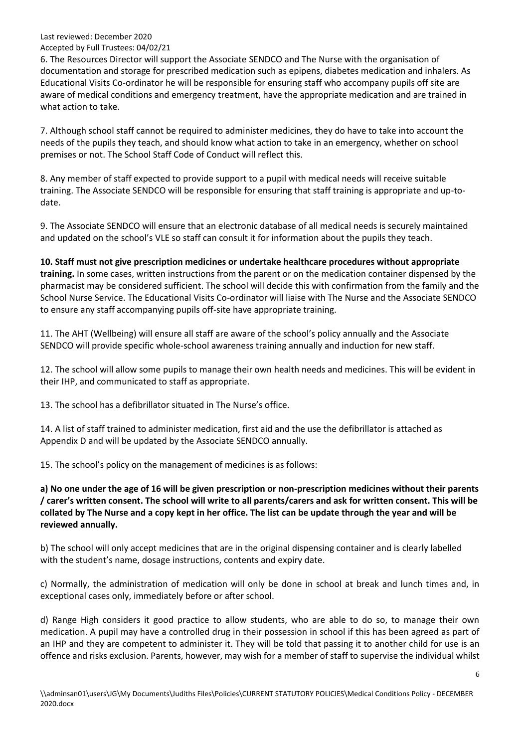#### Accepted by Full Trustees: 04/02/21

6. The Resources Director will support the Associate SENDCO and The Nurse with the organisation of documentation and storage for prescribed medication such as epipens, diabetes medication and inhalers. As Educational Visits Co-ordinator he will be responsible for ensuring staff who accompany pupils off site are aware of medical conditions and emergency treatment, have the appropriate medication and are trained in what action to take.

7. Although school staff cannot be required to administer medicines, they do have to take into account the needs of the pupils they teach, and should know what action to take in an emergency, whether on school premises or not. The School Staff Code of Conduct will reflect this.

8. Any member of staff expected to provide support to a pupil with medical needs will receive suitable training. The Associate SENDCO will be responsible for ensuring that staff training is appropriate and up-todate.

9. The Associate SENDCO will ensure that an electronic database of all medical needs is securely maintained and updated on the school's VLE so staff can consult it for information about the pupils they teach.

**10. Staff must not give prescription medicines or undertake healthcare procedures without appropriate training.** In some cases, written instructions from the parent or on the medication container dispensed by the pharmacist may be considered sufficient. The school will decide this with confirmation from the family and the School Nurse Service. The Educational Visits Co-ordinator will liaise with The Nurse and the Associate SENDCO to ensure any staff accompanying pupils off-site have appropriate training.

11. The AHT (Wellbeing) will ensure all staff are aware of the school's policy annually and the Associate SENDCO will provide specific whole-school awareness training annually and induction for new staff.

12. The school will allow some pupils to manage their own health needs and medicines. This will be evident in their IHP, and communicated to staff as appropriate.

13. The school has a defibrillator situated in The Nurse's office.

14. A list of staff trained to administer medication, first aid and the use the defibrillator is attached as Appendix D and will be updated by the Associate SENDCO annually.

15. The school's policy on the management of medicines is as follows:

**a) No one under the age of 16 will be given prescription or non-prescription medicines without their parents / carer's written consent. The school will write to all parents/carers and ask for written consent. This will be collated by The Nurse and a copy kept in her office. The list can be update through the year and will be reviewed annually.** 

b) The school will only accept medicines that are in the original dispensing container and is clearly labelled with the student's name, dosage instructions, contents and expiry date.

c) Normally, the administration of medication will only be done in school at break and lunch times and, in exceptional cases only, immediately before or after school.

d) Range High considers it good practice to allow students, who are able to do so, to manage their own medication. A pupil may have a controlled drug in their possession in school if this has been agreed as part of an IHP and they are competent to administer it. They will be told that passing it to another child for use is an offence and risks exclusion. Parents, however, may wish for a member of staff to supervise the individual whilst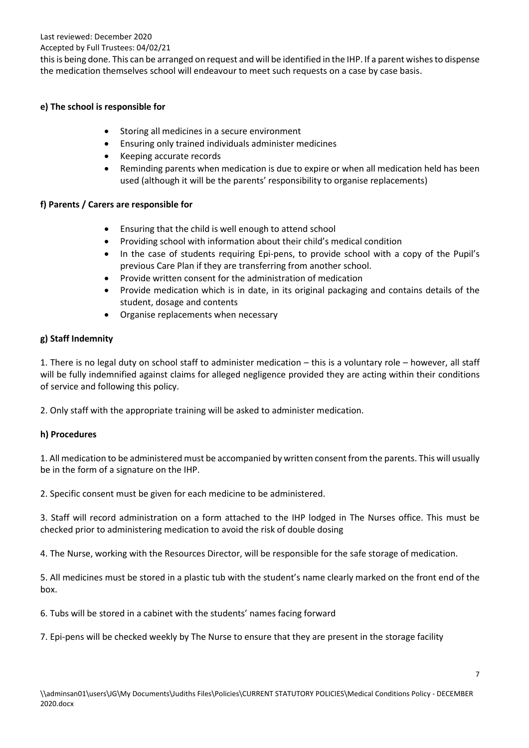#### Accepted by Full Trustees: 04/02/21

this is being done. This can be arranged on request and will be identified in the IHP. If a parent wishes to dispense the medication themselves school will endeavour to meet such requests on a case by case basis.

#### **e) The school is responsible for**

- Storing all medicines in a secure environment
- Ensuring only trained individuals administer medicines
- Keeping accurate records
- Reminding parents when medication is due to expire or when all medication held has been used (although it will be the parents' responsibility to organise replacements)

#### **f) Parents / Carers are responsible for**

- Ensuring that the child is well enough to attend school
- Providing school with information about their child's medical condition
- In the case of students requiring Epi-pens, to provide school with a copy of the Pupil's previous Care Plan if they are transferring from another school.
- Provide written consent for the administration of medication
- Provide medication which is in date, in its original packaging and contains details of the student, dosage and contents
- Organise replacements when necessary

#### **g) Staff Indemnity**

1. There is no legal duty on school staff to administer medication – this is a voluntary role – however, all staff will be fully indemnified against claims for alleged negligence provided they are acting within their conditions of service and following this policy.

2. Only staff with the appropriate training will be asked to administer medication.

#### **h) Procedures**

1. All medication to be administered must be accompanied by written consent from the parents. This will usually be in the form of a signature on the IHP.

2. Specific consent must be given for each medicine to be administered.

3. Staff will record administration on a form attached to the IHP lodged in The Nurses office. This must be checked prior to administering medication to avoid the risk of double dosing

4. The Nurse, working with the Resources Director, will be responsible for the safe storage of medication.

5. All medicines must be stored in a plastic tub with the student's name clearly marked on the front end of the box.

6. Tubs will be stored in a cabinet with the students' names facing forward

7. Epi-pens will be checked weekly by The Nurse to ensure that they are present in the storage facility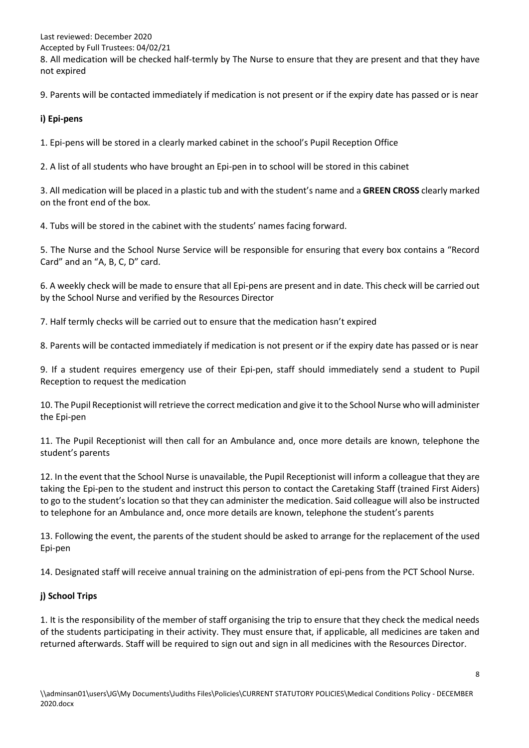Accepted by Full Trustees: 04/02/21

8. All medication will be checked half-termly by The Nurse to ensure that they are present and that they have not expired

9. Parents will be contacted immediately if medication is not present or if the expiry date has passed or is near

#### **i) Epi-pens**

1. Epi-pens will be stored in a clearly marked cabinet in the school's Pupil Reception Office

2. A list of all students who have brought an Epi-pen in to school will be stored in this cabinet

3. All medication will be placed in a plastic tub and with the student's name and a **GREEN CROSS** clearly marked on the front end of the box.

4. Tubs will be stored in the cabinet with the students' names facing forward.

5. The Nurse and the School Nurse Service will be responsible for ensuring that every box contains a "Record Card" and an "A, B, C, D" card.

6. A weekly check will be made to ensure that all Epi-pens are present and in date. This check will be carried out by the School Nurse and verified by the Resources Director

7. Half termly checks will be carried out to ensure that the medication hasn't expired

8. Parents will be contacted immediately if medication is not present or if the expiry date has passed or is near

9. If a student requires emergency use of their Epi-pen, staff should immediately send a student to Pupil Reception to request the medication

10. The Pupil Receptionist will retrieve the correct medication and give it to the School Nurse who will administer the Epi-pen

11. The Pupil Receptionist will then call for an Ambulance and, once more details are known, telephone the student's parents

12. In the event that the School Nurse is unavailable, the Pupil Receptionist will inform a colleague that they are taking the Epi-pen to the student and instruct this person to contact the Caretaking Staff (trained First Aiders) to go to the student's location so that they can administer the medication. Said colleague will also be instructed to telephone for an Ambulance and, once more details are known, telephone the student's parents

13. Following the event, the parents of the student should be asked to arrange for the replacement of the used Epi-pen

14. Designated staff will receive annual training on the administration of epi-pens from the PCT School Nurse.

#### **j) School Trips**

1. It is the responsibility of the member of staff organising the trip to ensure that they check the medical needs of the students participating in their activity. They must ensure that, if applicable, all medicines are taken and returned afterwards. Staff will be required to sign out and sign in all medicines with the Resources Director.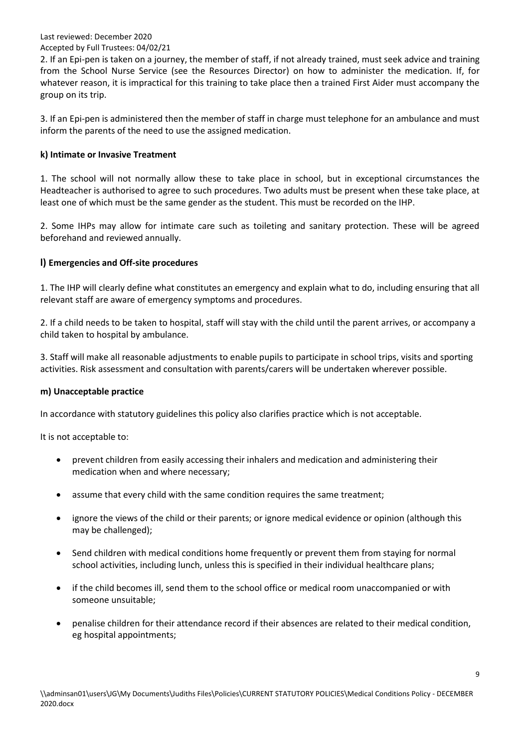#### Accepted by Full Trustees: 04/02/21

2. If an Epi-pen is taken on a journey, the member of staff, if not already trained, must seek advice and training from the School Nurse Service (see the Resources Director) on how to administer the medication. If, for whatever reason, it is impractical for this training to take place then a trained First Aider must accompany the group on its trip.

3. If an Epi-pen is administered then the member of staff in charge must telephone for an ambulance and must inform the parents of the need to use the assigned medication.

#### **k) Intimate or Invasive Treatment**

1. The school will not normally allow these to take place in school, but in exceptional circumstances the Headteacher is authorised to agree to such procedures. Two adults must be present when these take place, at least one of which must be the same gender as the student. This must be recorded on the IHP.

2. Some IHPs may allow for intimate care such as toileting and sanitary protection. These will be agreed beforehand and reviewed annually.

#### **l) Emergencies and Off-site procedures**

1. The IHP will clearly define what constitutes an emergency and explain what to do, including ensuring that all relevant staff are aware of emergency symptoms and procedures.

2. If a child needs to be taken to hospital, staff will stay with the child until the parent arrives, or accompany a child taken to hospital by ambulance.

3. Staff will make all reasonable adjustments to enable pupils to participate in school trips, visits and sporting activities. Risk assessment and consultation with parents/carers will be undertaken wherever possible.

#### **m) Unacceptable practice**

In accordance with statutory guidelines this policy also clarifies practice which is not acceptable.

It is not acceptable to:

- prevent children from easily accessing their inhalers and medication and administering their medication when and where necessary;
- assume that every child with the same condition requires the same treatment;
- ignore the views of the child or their parents; or ignore medical evidence or opinion (although this may be challenged);
- Send children with medical conditions home frequently or prevent them from staying for normal school activities, including lunch, unless this is specified in their individual healthcare plans;
- if the child becomes ill, send them to the school office or medical room unaccompanied or with someone unsuitable;
- penalise children for their attendance record if their absences are related to their medical condition, eg hospital appointments;

9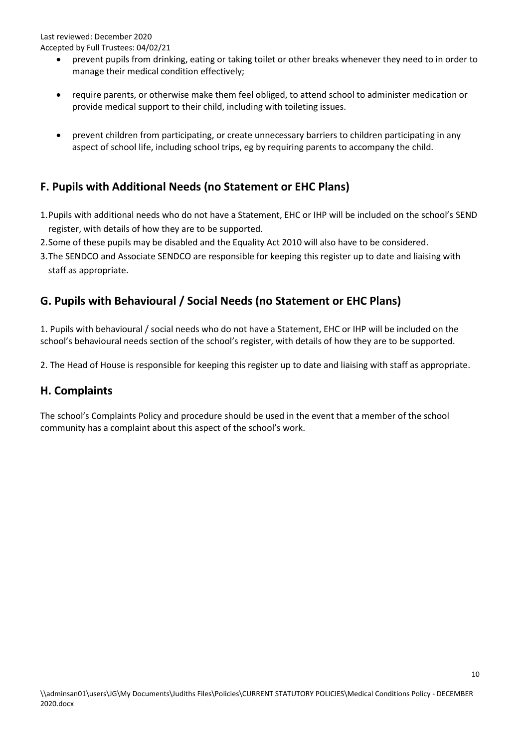- prevent pupils from drinking, eating or taking toilet or other breaks whenever they need to in order to manage their medical condition effectively;
- require parents, or otherwise make them feel obliged, to attend school to administer medication or provide medical support to their child, including with toileting issues.
- prevent children from participating, or create unnecessary barriers to children participating in any aspect of school life, including school trips, eg by requiring parents to accompany the child.

# **F. Pupils with Additional Needs (no Statement or EHC Plans)**

- 1.Pupils with additional needs who do not have a Statement, EHC or IHP will be included on the school's SEND register, with details of how they are to be supported.
- 2.Some of these pupils may be disabled and the Equality Act 2010 will also have to be considered.
- 3.The SENDCO and Associate SENDCO are responsible for keeping this register up to date and liaising with staff as appropriate.

# **G. Pupils with Behavioural / Social Needs (no Statement or EHC Plans)**

1. Pupils with behavioural / social needs who do not have a Statement, EHC or IHP will be included on the school's behavioural needs section of the school's register, with details of how they are to be supported.

2. The Head of House is responsible for keeping this register up to date and liaising with staff as appropriate.

## **H. Complaints**

The school's Complaints Policy and procedure should be used in the event that a member of the school community has a complaint about this aspect of the school's work.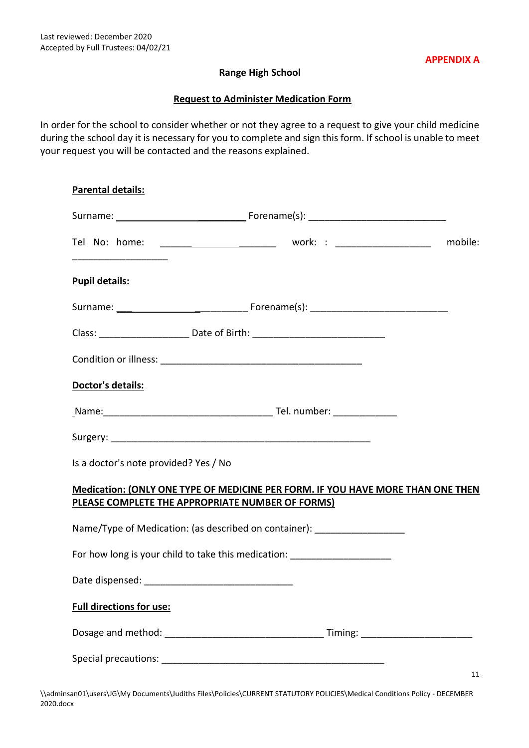#### **Range High School**

#### **Request to Administer Medication Form**

In order for the school to consider whether or not they agree to a request to give your child medicine during the school day it is necessary for you to complete and sign this form. If school is unable to meet your request you will be contacted and the reasons explained.

| <b>Parental details:</b>                         |                                                                                  |    |
|--------------------------------------------------|----------------------------------------------------------------------------------|----|
|                                                  |                                                                                  |    |
|                                                  |                                                                                  |    |
| <b>Pupil details:</b>                            |                                                                                  |    |
|                                                  |                                                                                  |    |
|                                                  |                                                                                  |    |
|                                                  |                                                                                  |    |
| <b>Doctor's details:</b>                         |                                                                                  |    |
|                                                  |                                                                                  |    |
|                                                  |                                                                                  |    |
| Is a doctor's note provided? Yes / No            |                                                                                  |    |
| PLEASE COMPLETE THE APPROPRIATE NUMBER OF FORMS) | Medication: (ONLY ONE TYPE OF MEDICINE PER FORM. IF YOU HAVE MORE THAN ONE THEN  |    |
|                                                  | Name/Type of Medication: (as described on container): ____________________       |    |
|                                                  | For how long is your child to take this medication: ____________________________ |    |
|                                                  |                                                                                  |    |
| <b>Full directions for use:</b>                  |                                                                                  |    |
|                                                  |                                                                                  |    |
|                                                  |                                                                                  | 11 |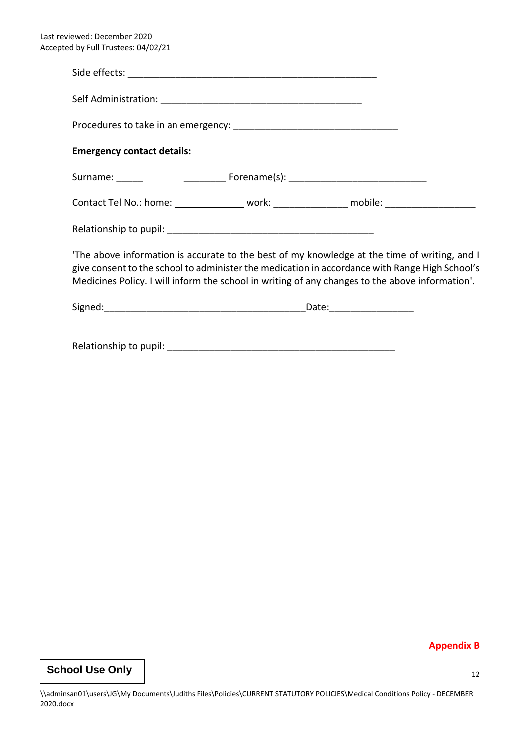| <b>Emergency contact details:</b>                                                                                                                                                                                                                                                                |  |
|--------------------------------------------------------------------------------------------------------------------------------------------------------------------------------------------------------------------------------------------------------------------------------------------------|--|
|                                                                                                                                                                                                                                                                                                  |  |
| Contact Tel No.: home: ________________ work: _______________ mobile: __________________                                                                                                                                                                                                         |  |
|                                                                                                                                                                                                                                                                                                  |  |
| The above information is accurate to the best of my knowledge at the time of writing, and I<br>give consent to the school to administer the medication in accordance with Range High School's<br>Medicines Policy. I will inform the school in writing of any changes to the above information'. |  |
|                                                                                                                                                                                                                                                                                                  |  |
|                                                                                                                                                                                                                                                                                                  |  |

**Appendix B**

# **School Use Only**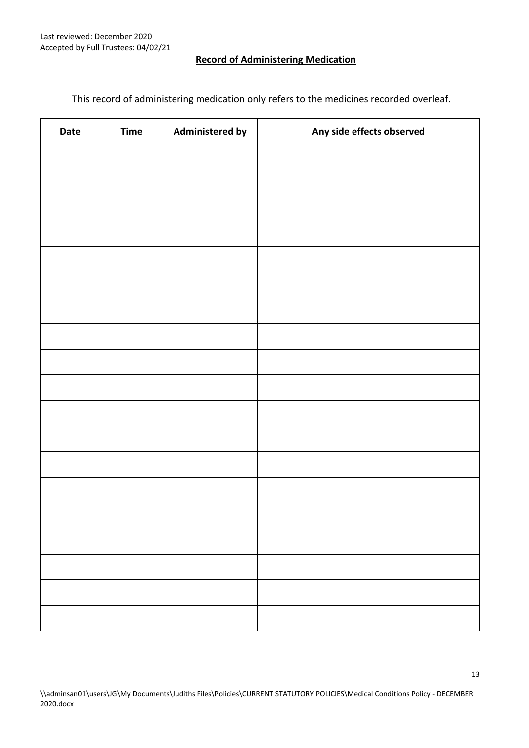#### **Record of Administering Medication**

This record of administering medication only refers to the medicines recorded overleaf.

| Date | <b>Time</b> | <b>Administered by</b> | Any side effects observed |
|------|-------------|------------------------|---------------------------|
|      |             |                        |                           |
|      |             |                        |                           |
|      |             |                        |                           |
|      |             |                        |                           |
|      |             |                        |                           |
|      |             |                        |                           |
|      |             |                        |                           |
|      |             |                        |                           |
|      |             |                        |                           |
|      |             |                        |                           |
|      |             |                        |                           |
|      |             |                        |                           |
|      |             |                        |                           |
|      |             |                        |                           |
|      |             |                        |                           |
|      |             |                        |                           |
|      |             |                        |                           |
|      |             |                        |                           |
|      |             |                        |                           |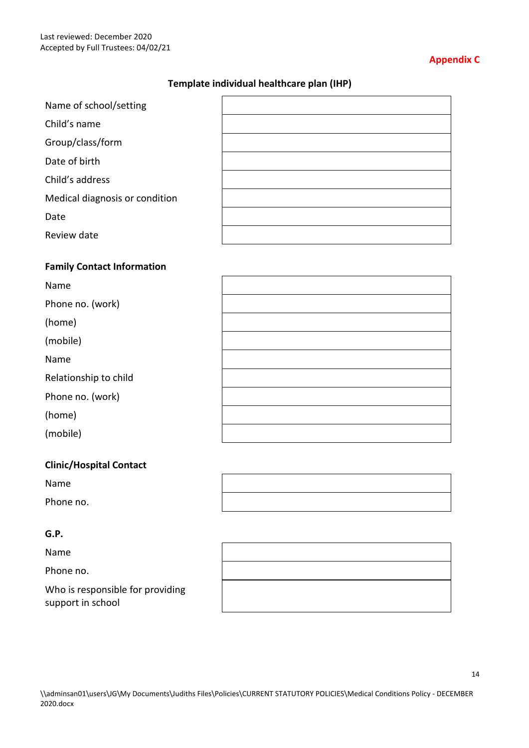#### **Appendix C**

#### **Template individual healthcare plan (IHP)**

| Name of school/setting         |  |
|--------------------------------|--|
| Child's name                   |  |
| Group/class/form               |  |
| Date of birth                  |  |
| Child's address                |  |
| Medical diagnosis or condition |  |
| Date                           |  |
| Review date                    |  |
|                                |  |

#### **Family Contact Information**

| Name                  |  |
|-----------------------|--|
| Phone no. (work)      |  |
| (home)                |  |
| (mobile)              |  |
| Name                  |  |
| Relationship to child |  |
| Phone no. (work)      |  |
| (home)                |  |
| (mobile)              |  |

#### **Clinic/Hospital Contact**

Name

Phone no.

#### **G.P.**

Name

Phone no.

Who is responsible for providing support in school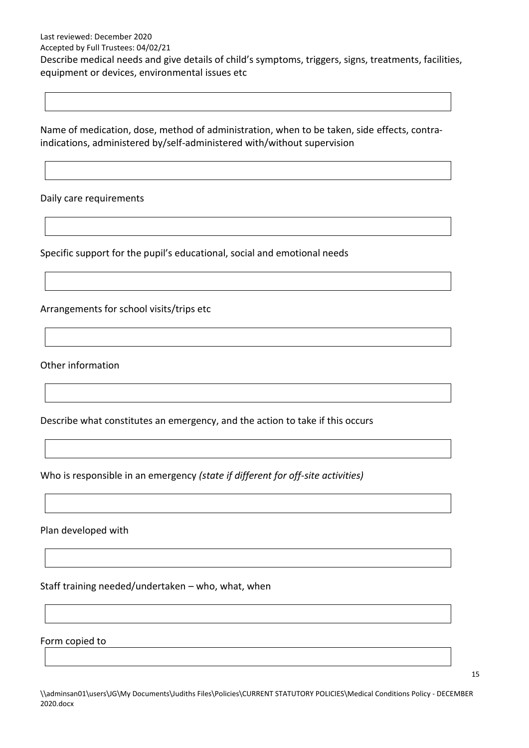Accepted by Full Trustees: 04/02/21

Describe medical needs and give details of child's symptoms, triggers, signs, treatments, facilities, equipment or devices, environmental issues etc

Name of medication, dose, method of administration, when to be taken, side effects, contraindications, administered by/self-administered with/without supervision

Daily care requirements

Specific support for the pupil's educational, social and emotional needs

Arrangements for school visits/trips etc

Other information

Describe what constitutes an emergency, and the action to take if this occurs

Who is responsible in an emergency *(state if different for off-site activities)*

Plan developed with

Staff training needed/undertaken – who, what, when

Form copied to

15